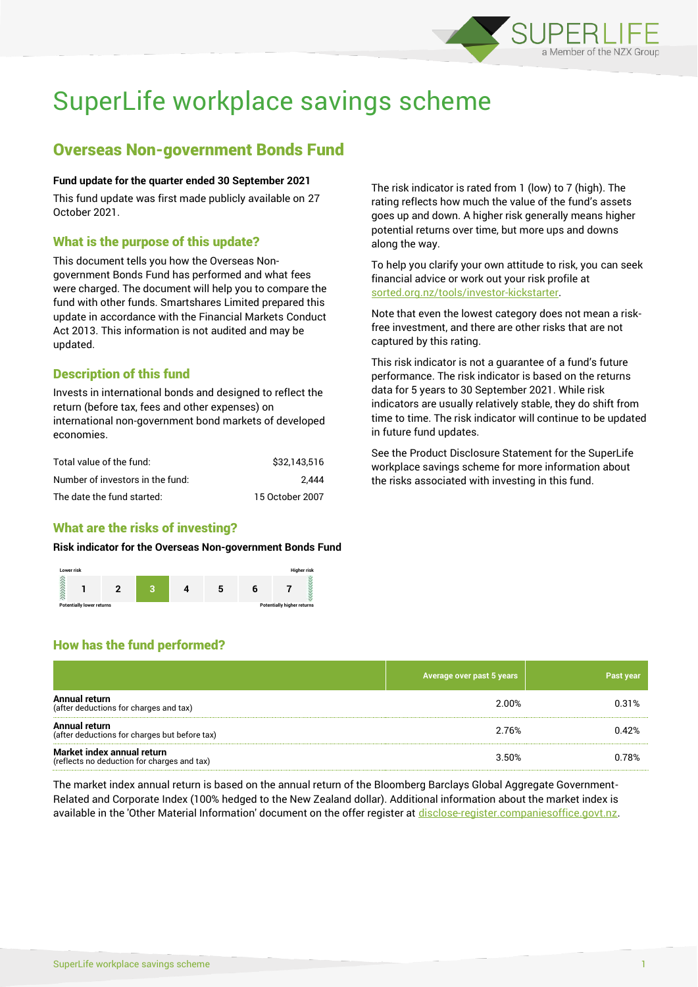

# SuperLife workplace savings scheme

## Overseas Non-government Bonds Fund

#### **Fund update for the quarter ended 30 September 2021**

This fund update was first made publicly available on 27 October 2021.

## What is the purpose of this update?

This document tells you how the Overseas Nongovernment Bonds Fund has performed and what fees were charged. The document will help you to compare the fund with other funds. Smartshares Limited prepared this update in accordance with the Financial Markets Conduct Act 2013. This information is not audited and may be updated.

## Description of this fund

Invests in international bonds and designed to reflect the return (before tax, fees and other expenses) on international non-government bond markets of developed economies.

| Total value of the fund:         | \$32.143.516    |
|----------------------------------|-----------------|
| Number of investors in the fund: | 2.444           |
| The date the fund started:       | 15 October 2007 |

## What are the risks of investing?

#### **Risk indicator for the Overseas Non-government Bonds Fund**



The risk indicator is rated from 1 (low) to 7 (high). The rating reflects how much the value of the fund's assets goes up and down. A higher risk generally means higher potential returns over time, but more ups and downs along the way.

To help you clarify your own attitude to risk, you can seek financial advice or work out your risk profile at [sorted.org.nz/tools/investor-kickstarter.](http://www.sorted.org.nz/tools/investor-kickstarter)

Note that even the lowest category does not mean a riskfree investment, and there are other risks that are not captured by this rating.

This risk indicator is not a guarantee of a fund's future performance. The risk indicator is based on the returns data for 5 years to 30 September 2021. While risk indicators are usually relatively stable, they do shift from time to time. The risk indicator will continue to be updated in future fund updates.

See the Product Disclosure Statement for the SuperLife workplace savings scheme for more information about the risks associated with investing in this fund.

## How has the fund performed?

|                                                                           | Average over past 5 years | Past year |
|---------------------------------------------------------------------------|---------------------------|-----------|
| Annual return<br>(after deductions for charges and tax)                   | 2.00%                     | 0.31%     |
| Annual return<br>(after deductions for charges but before tax)            | 2.76%                     | 0.42%     |
| Market index annual return<br>(reflects no deduction for charges and tax) | 3.50%                     | 0.78%     |

The market index annual return is based on the annual return of the Bloomberg Barclays Global Aggregate Government-Related and Corporate Index (100% hedged to the New Zealand dollar). Additional information about the market index is available in the 'Other Material Information' document on the offer register at [disclose-register.companiesoffice.govt.nz.](http://www.disclose-register.companiesoffice.govt.nz/)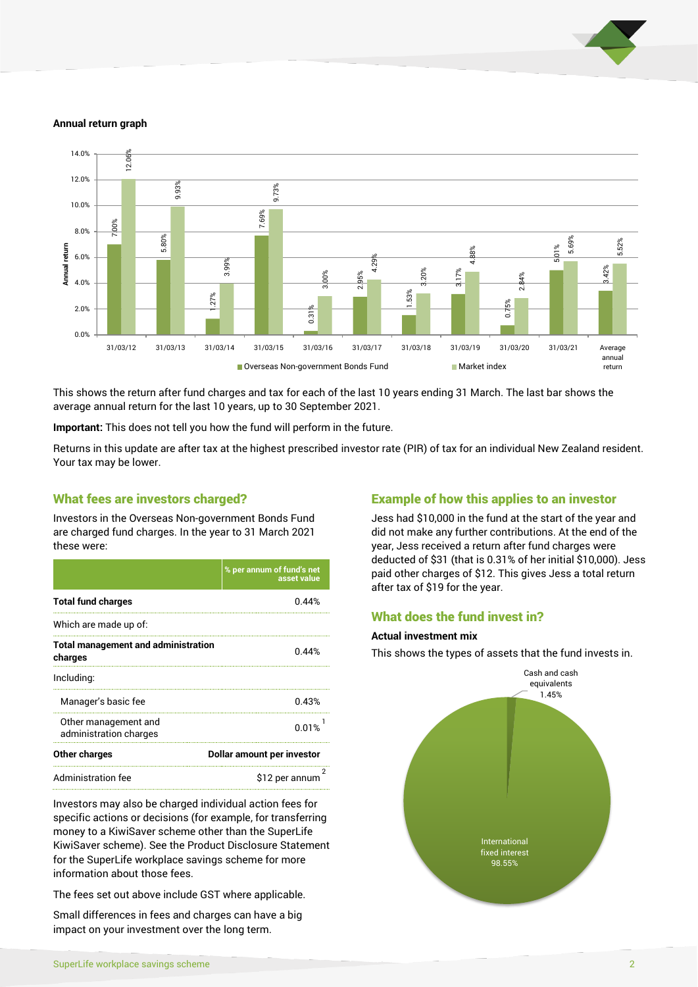

#### **Annual return graph**



This shows the return after fund charges and tax for each of the last 10 years ending 31 March. The last bar shows the average annual return for the last 10 years, up to 30 September 2021.

**Important:** This does not tell you how the fund will perform in the future.

Returns in this update are after tax at the highest prescribed investor rate (PIR) of tax for an individual New Zealand resident. Your tax may be lower.

### What fees are investors charged?

Investors in the Overseas Non-government Bonds Fund are charged fund charges. In the year to 31 March 2021 these were:

|                                                       | % per annum of fund's net<br>asset value |  |
|-------------------------------------------------------|------------------------------------------|--|
| <b>Total fund charges</b>                             | በ 44%                                    |  |
| Which are made up of:                                 |                                          |  |
| <b>Total management and administration</b><br>charges | 0.44%                                    |  |
| Including:                                            |                                          |  |
| Manager's basic fee                                   | 0.43%                                    |  |
| Other management and<br>administration charges        | 0.01%                                    |  |
| <b>Other charges</b>                                  | Dollar amount per investor               |  |
| Administration fee                                    | \$12 per annum                           |  |

Investors may also be charged individual action fees for specific actions or decisions (for example, for transferring money to a KiwiSaver scheme other than the SuperLife KiwiSaver scheme). See the Product Disclosure Statement for the SuperLife workplace savings scheme for more information about those fees.

The fees set out above include GST where applicable.

Small differences in fees and charges can have a big impact on your investment over the long term.

## Example of how this applies to an investor

Jess had \$10,000 in the fund at the start of the year and did not make any further contributions. At the end of the year, Jess received a return after fund charges were deducted of \$31 (that is 0.31% of her initial \$10,000). Jess paid other charges of \$12. This gives Jess a total return after tax of \$19 for the year.

## What does the fund invest in?

#### **Actual investment mix**

This shows the types of assets that the fund invests in.

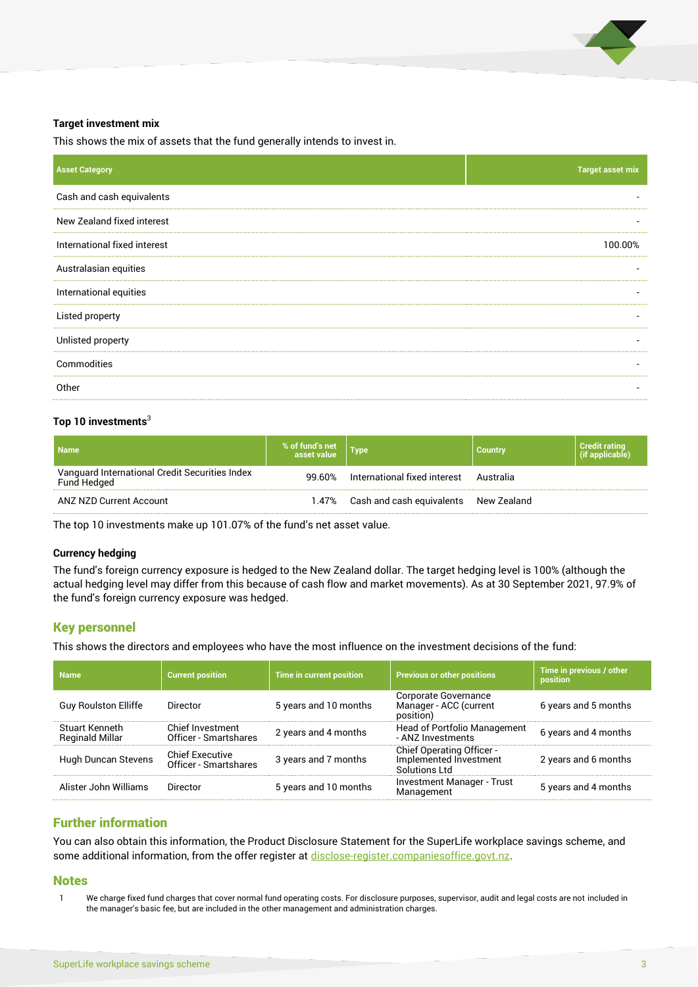

#### **Target investment mix**

This shows the mix of assets that the fund generally intends to invest in.

| <b>Asset Category</b>        | <b>Target asset mix</b> |
|------------------------------|-------------------------|
| Cash and cash equivalents    |                         |
| New Zealand fixed interest   |                         |
| International fixed interest | 100.00%                 |
| Australasian equities        |                         |
| International equities       |                         |
| Listed property              |                         |
| Unlisted property            |                         |
| Commodities                  |                         |
| Other                        |                         |

#### **Top 10 investments**<sup>3</sup>

| <b>Name</b>                                                   | % of fund's net | Type                                   | <b>Country</b> | <b>Credit rating</b><br>(if applicable) |
|---------------------------------------------------------------|-----------------|----------------------------------------|----------------|-----------------------------------------|
| Vanguard International Credit Securities Index<br>Fund Hedged | 99.60%          | International fixed interest Australia |                |                                         |
| ANZ NZD Current Account                                       | 1.47%           | Cash and cash equivalents New Zealand  |                |                                         |

The top 10 investments make up 101.07% of the fund's net asset value.

#### **Currency hedging**

The fund's foreign currency exposure is hedged to the New Zealand dollar. The target hedging level is 100% (although the actual hedging level may differ from this because of cash flow and market movements). As at 30 September 2021, 97.9% of the fund's foreign currency exposure was hedged.

## Key personnel

This shows the directors and employees who have the most influence on the investment decisions of the fund:

| <b>Name</b>                              | <b>Current position</b>                         | <b>Time in current position</b> | <b>Previous or other positions</b>                                          | Time in previous / other<br>position |
|------------------------------------------|-------------------------------------------------|---------------------------------|-----------------------------------------------------------------------------|--------------------------------------|
| <b>Guy Roulston Elliffe</b>              | Director                                        | 5 years and 10 months           | Corporate Governance<br>Manager - ACC (current<br>position)                 | 6 years and 5 months                 |
| Stuart Kenneth<br><b>Reginald Millar</b> | Chief Investment<br>Officer - Smartshares       | 2 years and 4 months            | <b>Head of Portfolio Management</b><br>- ANZ Investments                    | 6 years and 4 months                 |
| Hugh Duncan Stevens                      | <b>Chief Executive</b><br>Officer - Smartshares | 3 years and 7 months            | <b>Chief Operating Officer -</b><br>Implemented Investment<br>Solutions Ltd | 2 years and 6 months                 |
| Alister John Williams                    | Director                                        | 5 years and 10 months           | <b>Investment Manager - Trust</b><br>Management                             | 5 years and 4 months                 |

## Further information

You can also obtain this information, the Product Disclosure Statement for the SuperLife workplace savings scheme, and some additional information, from the offer register at [disclose-register.companiesoffice.govt.nz.](http://www.disclose-register.companiesoffice.govt.nz/)

#### **Notes**

1 We charge fixed fund charges that cover normal fund operating costs. For disclosure purposes, supervisor, audit and legal costs are not included in the manager's basic fee, but are included in the other management and administration charges.